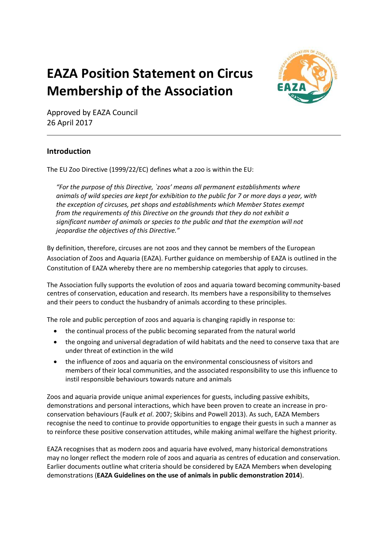# **EAZA Position Statement on Circus Membership of the Association**



Approved by EAZA Council 26 April 2017

# **Introduction**

The EU Zoo Directive (1999/22/EC) defines what a zoo is within the EU:

*"For the purpose of this Directive, `zoos' means all permanent establishments where animals of wild species are kept for exhibition to the public for 7 or more days a year, with the exception of circuses, pet shops and establishments which Member States exempt from the requirements of this Directive on the grounds that they do not exhibit a significant number of animals or species to the public and that the exemption will not jeopardise the objectives of this Directive."*

By definition, therefore, circuses are not zoos and they cannot be members of the European Association of Zoos and Aquaria (EAZA). Further guidance on membership of EAZA is outlined in the Constitution of EAZA whereby there are no membership categories that apply to circuses.

The Association fully supports the evolution of zoos and aquaria toward becoming community-based centres of conservation, education and research. Its members have a responsibility to themselves and their peers to conduct the husbandry of animals according to these principles.

The role and public perception of zoos and aquaria is changing rapidly in response to:

- the continual process of the public becoming separated from the natural world
- the ongoing and universal degradation of wild habitats and the need to conserve taxa that are under threat of extinction in the wild
- the influence of zoos and aquaria on the environmental consciousness of visitors and members of their local communities, and the associated responsibility to use this influence to instil responsible behaviours towards nature and animals

Zoos and aquaria provide unique animal experiences for guests, including passive exhibits, demonstrations and personal interactions, which have been proven to create an increase in proconservation behaviours (Faulk *et al*. 2007; Skibins and Powell 2013). As such, EAZA Members recognise the need to continue to provide opportunities to engage their guests in such a manner as to reinforce these positive conservation attitudes, while making animal welfare the highest priority.

EAZA recognises that as modern zoos and aquaria have evolved, many historical demonstrations may no longer reflect the modern role of zoos and aquaria as centres of education and conservation. Earlier documents outline what criteria should be considered by EAZA Members when developing demonstrations (**EAZA Guidelines on the use of animals in public demonstration 2014**).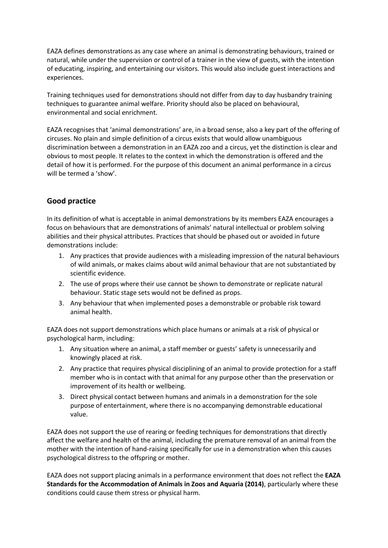EAZA defines demonstrations as any case where an animal is demonstrating behaviours, trained or natural, while under the supervision or control of a trainer in the view of guests, with the intention of educating, inspiring, and entertaining our visitors. This would also include guest interactions and experiences.

Training techniques used for demonstrations should not differ from day to day husbandry training techniques to guarantee animal welfare. Priority should also be placed on behavioural, environmental and social enrichment.

EAZA recognises that 'animal demonstrations' are, in a broad sense, also a key part of the offering of circuses. No plain and simple definition of a circus exists that would allow unambiguous discrimination between a demonstration in an EAZA zoo and a circus, yet the distinction is clear and obvious to most people. It relates to the context in which the demonstration is offered and the detail of how it is performed. For the purpose of this document an animal performance in a circus will be termed a 'show'.

# **Good practice**

In its definition of what is acceptable in animal demonstrations by its members EAZA encourages a focus on behaviours that are demonstrations of animals' natural intellectual or problem solving abilities and their physical attributes. Practices that should be phased out or avoided in future demonstrations include:

- 1. Any practices that provide audiences with a misleading impression of the natural behaviours of wild animals, or makes claims about wild animal behaviour that are not substantiated by scientific evidence.
- 2. The use of props where their use cannot be shown to demonstrate or replicate natural behaviour. Static stage sets would not be defined as props.
- 3. Any behaviour that when implemented poses a demonstrable or probable risk toward animal health.

EAZA does not support demonstrations which place humans or animals at a risk of physical or psychological harm, including:

- 1. Any situation where an animal, a staff member or guests' safety is unnecessarily and knowingly placed at risk.
- 2. Any practice that requires physical disciplining of an animal to provide protection for a staff member who is in contact with that animal for any purpose other than the preservation or improvement of its health or wellbeing.
- 3. Direct physical contact between humans and animals in a demonstration for the sole purpose of entertainment, where there is no accompanying demonstrable educational value.

EAZA does not support the use of rearing or feeding techniques for demonstrations that directly affect the welfare and health of the animal, including the premature removal of an animal from the mother with the intention of hand-raising specifically for use in a demonstration when this causes psychological distress to the offspring or mother.

EAZA does not support placing animals in a performance environment that does not reflect the **EAZA Standards for the Accommodation of Animals in Zoos and Aquaria (2014)**, particularly where these conditions could cause them stress or physical harm.